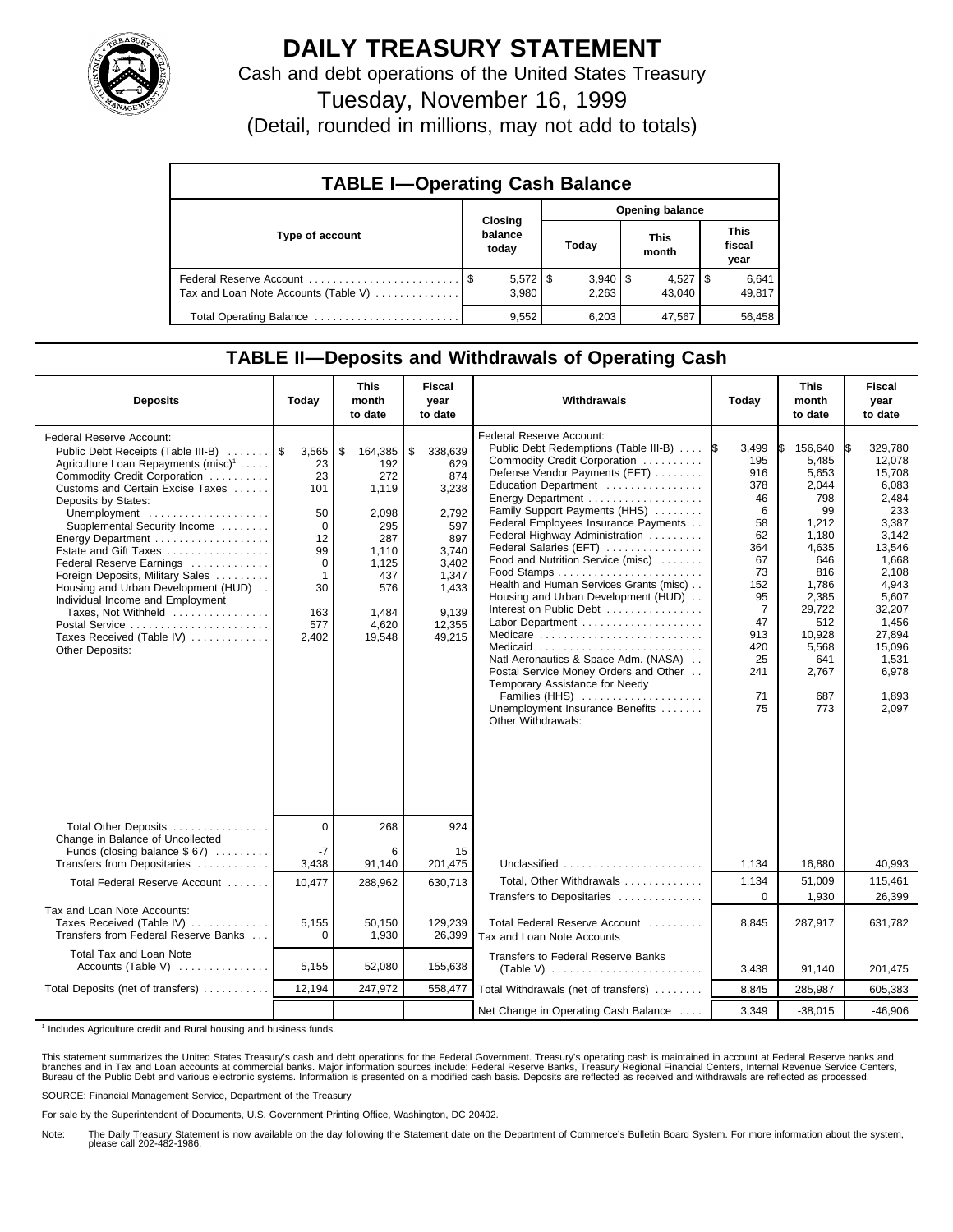

## **DAILY TREASURY STATEMENT**

Cash and debt operations of the United States Treasury

Tuesday, November 16, 1999

(Detail, rounded in millions, may not add to totals)

| <b>TABLE I-Operating Cash Balance</b> |                             |                     |                      |                               |  |  |  |
|---------------------------------------|-----------------------------|---------------------|----------------------|-------------------------------|--|--|--|
|                                       |                             | Opening balance     |                      |                               |  |  |  |
| Type of account                       | Closing<br>balance<br>today | Today               | <b>This</b><br>month | <b>This</b><br>fiscal<br>year |  |  |  |
| Tax and Loan Note Accounts (Table V)  | $5,572$ \$<br>3,980         | $3,940$ \$<br>2,263 | $4,527$ S<br>43.040  | 6,641<br>49,817               |  |  |  |
| Total Operating Balance               | 9,552                       | 6,203               | 47,567               | 56,458                        |  |  |  |

## **TABLE II—Deposits and Withdrawals of Operating Cash**

| <b>Deposits</b>                                                                                                                                                                                                                                                                                                                                                                                                                                                                                                                                       | Today                                                                                                      | <b>This</b><br>month<br>to date                                                                                         | <b>Fiscal</b><br>year<br>to date                                                                                             | Withdrawals                                                                                                                                                                                                                                                                                                                                                                                                                                                                                                                                                                                                                                                                                                      | Today                                                                                                                                                   | <b>This</b><br>month<br>to date                                                                                                                                              | <b>Fiscal</b><br>year<br>to date                                                                                                                                                                       |
|-------------------------------------------------------------------------------------------------------------------------------------------------------------------------------------------------------------------------------------------------------------------------------------------------------------------------------------------------------------------------------------------------------------------------------------------------------------------------------------------------------------------------------------------------------|------------------------------------------------------------------------------------------------------------|-------------------------------------------------------------------------------------------------------------------------|------------------------------------------------------------------------------------------------------------------------------|------------------------------------------------------------------------------------------------------------------------------------------------------------------------------------------------------------------------------------------------------------------------------------------------------------------------------------------------------------------------------------------------------------------------------------------------------------------------------------------------------------------------------------------------------------------------------------------------------------------------------------------------------------------------------------------------------------------|---------------------------------------------------------------------------------------------------------------------------------------------------------|------------------------------------------------------------------------------------------------------------------------------------------------------------------------------|--------------------------------------------------------------------------------------------------------------------------------------------------------------------------------------------------------|
| <b>Federal Reserve Account:</b><br>Public Debt Receipts (Table III-B)<br>Agriculture Loan Repayments (misc) <sup>1</sup><br>Commodity Credit Corporation<br>Customs and Certain Excise Taxes<br>Deposits by States:<br>Unemployment<br>Supplemental Security Income<br>Energy Department<br>Estate and Gift Taxes<br>Federal Reserve Earnings<br>Foreign Deposits, Military Sales<br>Housing and Urban Development (HUD)<br>Individual Income and Employment<br>Taxes, Not Withheld<br>Postal Service<br>Taxes Received (Table IV)<br>Other Deposits: | 3,565<br>23<br>23<br>101<br>50<br>$\mathbf 0$<br>12<br>99<br>0<br>$\mathbf 1$<br>30<br>163<br>577<br>2,402 | \$<br>164,385<br>192<br>272<br>1,119<br>2,098<br>295<br>287<br>1,110<br>1,125<br>437<br>576<br>1,484<br>4.620<br>19,548 | \$<br>338,639<br>629<br>874<br>3,238<br>2,792<br>597<br>897<br>3,740<br>3,402<br>1.347<br>1,433<br>9.139<br>12.355<br>49,215 | Federal Reserve Account:<br>Public Debt Redemptions (Table III-B)<br>Commodity Credit Corporation<br>Defense Vendor Payments (EFT)<br>Education Department<br>Energy Department<br>Family Support Payments (HHS)<br>Federal Employees Insurance Payments<br>Federal Highway Administration<br>Federal Salaries (EFT)<br>Food and Nutrition Service (misc)<br>Health and Human Services Grants (misc)<br>Housing and Urban Development (HUD)<br>Interest on Public Debt<br>Labor Department<br>Medicare<br>Medicaid<br>Natl Aeronautics & Space Adm. (NASA)<br>Postal Service Money Orders and Other<br>Temporary Assistance for Needy<br>Families (HHS)<br>Unemployment Insurance Benefits<br>Other Withdrawals: | 3,499<br>1\$<br>195<br>916<br>378<br>46<br>6<br>58<br>62<br>364<br>67<br>73<br>152<br>95<br>$\overline{7}$<br>47<br>913<br>420<br>25<br>241<br>71<br>75 | 156,640<br>5,485<br>5,653<br>2,044<br>798<br>99<br>1,212<br>1,180<br>4,635<br>646<br>816<br>1,786<br>2,385<br>29,722<br>512<br>10,928<br>5,568<br>641<br>2,767<br>687<br>773 | 329.780<br>I\$<br>12.078<br>15,708<br>6,083<br>2.484<br>233<br>3,387<br>3,142<br>13,546<br>1,668<br>2,108<br>4,943<br>5,607<br>32,207<br>1,456<br>27,894<br>15,096<br>1,531<br>6,978<br>1,893<br>2,097 |
| Total Other Deposits<br>Change in Balance of Uncollected<br>Funds (closing balance \$67)                                                                                                                                                                                                                                                                                                                                                                                                                                                              | $\overline{0}$<br>$-7$                                                                                     | 268<br>6                                                                                                                | 924<br>15                                                                                                                    |                                                                                                                                                                                                                                                                                                                                                                                                                                                                                                                                                                                                                                                                                                                  |                                                                                                                                                         |                                                                                                                                                                              |                                                                                                                                                                                                        |
| Transfers from Depositaries                                                                                                                                                                                                                                                                                                                                                                                                                                                                                                                           | 3,438                                                                                                      | 91,140                                                                                                                  | 201,475                                                                                                                      | Unclassified $\ldots \ldots \ldots \ldots \ldots \ldots$                                                                                                                                                                                                                                                                                                                                                                                                                                                                                                                                                                                                                                                         | 1,134                                                                                                                                                   | 16,880                                                                                                                                                                       | 40,993                                                                                                                                                                                                 |
| Total Federal Reserve Account                                                                                                                                                                                                                                                                                                                                                                                                                                                                                                                         | 10,477                                                                                                     | 288,962                                                                                                                 | 630,713                                                                                                                      | Total. Other Withdrawals<br>Transfers to Depositaries                                                                                                                                                                                                                                                                                                                                                                                                                                                                                                                                                                                                                                                            | 1,134<br>$\Omega$                                                                                                                                       | 51,009<br>1,930                                                                                                                                                              | 115.461<br>26,399                                                                                                                                                                                      |
| Tax and Loan Note Accounts:<br>Taxes Received (Table IV)<br>Transfers from Federal Reserve Banks                                                                                                                                                                                                                                                                                                                                                                                                                                                      | 5,155<br>$\Omega$                                                                                          | 50,150<br>1,930                                                                                                         | 129,239<br>26,399                                                                                                            | Total Federal Reserve Account<br>Tax and Loan Note Accounts                                                                                                                                                                                                                                                                                                                                                                                                                                                                                                                                                                                                                                                      | 8,845                                                                                                                                                   | 287,917                                                                                                                                                                      | 631,782                                                                                                                                                                                                |
| Total Tax and Loan Note<br>Accounts (Table V)                                                                                                                                                                                                                                                                                                                                                                                                                                                                                                         | 5,155                                                                                                      | 52,080                                                                                                                  | 155,638                                                                                                                      | <b>Transfers to Federal Reserve Banks</b>                                                                                                                                                                                                                                                                                                                                                                                                                                                                                                                                                                                                                                                                        | 3,438                                                                                                                                                   | 91,140                                                                                                                                                                       | 201,475                                                                                                                                                                                                |
| Total Deposits (net of transfers)                                                                                                                                                                                                                                                                                                                                                                                                                                                                                                                     | 12,194                                                                                                     | 247,972                                                                                                                 | 558,477                                                                                                                      | Total Withdrawals (net of transfers)                                                                                                                                                                                                                                                                                                                                                                                                                                                                                                                                                                                                                                                                             | 8,845                                                                                                                                                   | 285,987                                                                                                                                                                      | 605,383                                                                                                                                                                                                |
|                                                                                                                                                                                                                                                                                                                                                                                                                                                                                                                                                       |                                                                                                            |                                                                                                                         |                                                                                                                              | Net Change in Operating Cash Balance                                                                                                                                                                                                                                                                                                                                                                                                                                                                                                                                                                                                                                                                             | 3,349                                                                                                                                                   | $-38,015$                                                                                                                                                                    | $-46,906$                                                                                                                                                                                              |

<sup>1</sup> Includes Agriculture credit and Rural housing and business funds.

This statement summarizes the United States Treasury's cash and debt operations for the Federal Government. Treasury's operating cash is maintained in account at Federal Reserve banks and<br>branches and in Tax and Loan accou

SOURCE: Financial Management Service, Department of the Treasury

For sale by the Superintendent of Documents, U.S. Government Printing Office, Washington, DC 20402.

Note: The Daily Treasury Statement is now available on the day following the Statement date on the Department of Commerce's Bulletin Board System. For more information about the system, please call 202-482-1986.